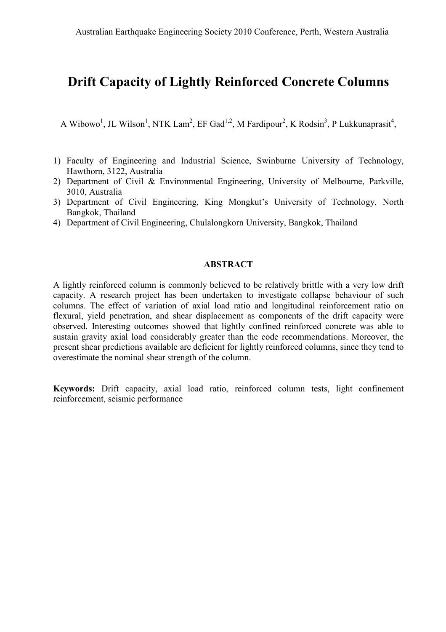# Drift Capacity of Lightly Reinforced Concrete Columns

A Wibowo<sup>1</sup>, JL Wilson<sup>1</sup>, NTK Lam<sup>2</sup>, EF Gad<sup>1,2</sup>, M Fardipour<sup>2</sup>, K Rodsin<sup>3</sup>, P Lukkunaprasit<sup>4</sup>,

- 1) Faculty of Engineering and Industrial Science, Swinburne University of Technology, Hawthorn, 3122, Australia
- 2) Department of Civil & Environmental Engineering, University of Melbourne, Parkville, 3010, Australia
- 3) Department of Civil Engineering, King Mongkut's University of Technology, North Bangkok, Thailand
- 4) Department of Civil Engineering, Chulalongkorn University, Bangkok, Thailand

## **ABSTRACT**

A lightly reinforced column is commonly believed to be relatively brittle with a very low drift capacity. A research project has been undertaken to investigate collapse behaviour of such columns. The effect of variation of axial load ratio and longitudinal reinforcement ratio on flexural, yield penetration, and shear displacement as components of the drift capacity were observed. Interesting outcomes showed that lightly confined reinforced concrete was able to sustain gravity axial load considerably greater than the code recommendations. Moreover, the present shear predictions available are deficient for lightly reinforced columns, since they tend to overestimate the nominal shear strength of the column.

Keywords: Drift capacity, axial load ratio, reinforced column tests, light confinement reinforcement, seismic performance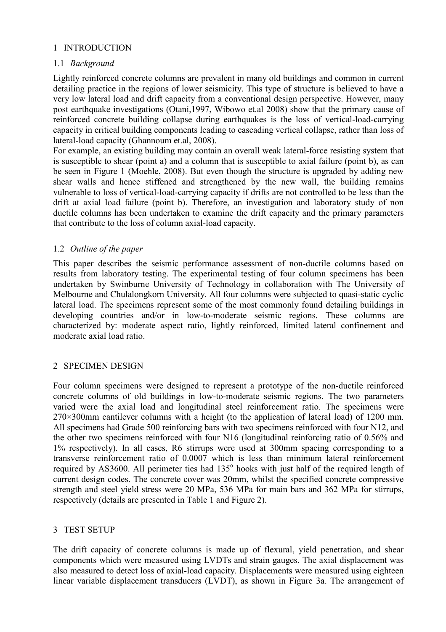# 1 INTRODUCTION

## 1.1 *Background*

Lightly reinforced concrete columns are prevalent in many old buildings and common in current detailing practice in the regions of lower seismicity. This type of structure is believed to have a very low lateral load and drift capacity from a conventional design perspective. However, many post earthquake investigations (Otani,1997, Wibowo et.al 2008) show that the primary cause of reinforced concrete building collapse during earthquakes is the loss of vertical-load-carrying capacity in critical building components leading to cascading vertical collapse, rather than loss of lateral-load capacity (Ghannoum et.al, 2008).

For example, an existing building may contain an overall weak lateral-force resisting system that is susceptible to shear (point a) and a column that is susceptible to axial failure (point b), as can be seen in Figure 1 (Moehle, 2008). But even though the structure is upgraded by adding new shear walls and hence stiffened and strengthened by the new wall, the building remains vulnerable to loss of vertical-load-carrying capacity if drifts are not controlled to be less than the drift at axial load failure (point b). Therefore, an investigation and laboratory study of non ductile columns has been undertaken to examine the drift capacity and the primary parameters that contribute to the loss of column axial-load capacity.

# 1.2 *Outline of the paper*

This paper describes the seismic performance assessment of non-ductile columns based on results from laboratory testing. The experimental testing of four column specimens has been undertaken by Swinburne University of Technology in collaboration with The University of Melbourne and Chulalongkorn University. All four columns were subjected to quasi-static cyclic lateral load. The specimens represent some of the most commonly found detailing buildings in developing countries and/or in low-to-moderate seismic regions. These columns are characterized by: moderate aspect ratio, lightly reinforced, limited lateral confinement and moderate axial load ratio.

## 2 SPECIMEN DESIGN

Four column specimens were designed to represent a prototype of the non-ductile reinforced concrete columns of old buildings in low-to-moderate seismic regions. The two parameters varied were the axial load and longitudinal steel reinforcement ratio. The specimens were 270×300mm cantilever columns with a height (to the application of lateral load) of 1200 mm. All specimens had Grade 500 reinforcing bars with two specimens reinforced with four N12, and the other two specimens reinforced with four N16 (longitudinal reinforcing ratio of 0.56% and 1% respectively). In all cases, R6 stirrups were used at 300mm spacing corresponding to a transverse reinforcement ratio of 0.0007 which is less than minimum lateral reinforcement required by AS3600. All perimeter ties had 135° hooks with just half of the required length of current design codes. The concrete cover was 20mm, whilst the specified concrete compressive strength and steel yield stress were 20 MPa, 536 MPa for main bars and 362 MPa for stirrups, respectively (details are presented in Table 1 and Figure 2).

# 3 TEST SETUP

The drift capacity of concrete columns is made up of flexural, yield penetration, and shear components which were measured using LVDTs and strain gauges. The axial displacement was also measured to detect loss of axial-load capacity. Displacements were measured using eighteen linear variable displacement transducers (LVDT), as shown in Figure 3a. The arrangement of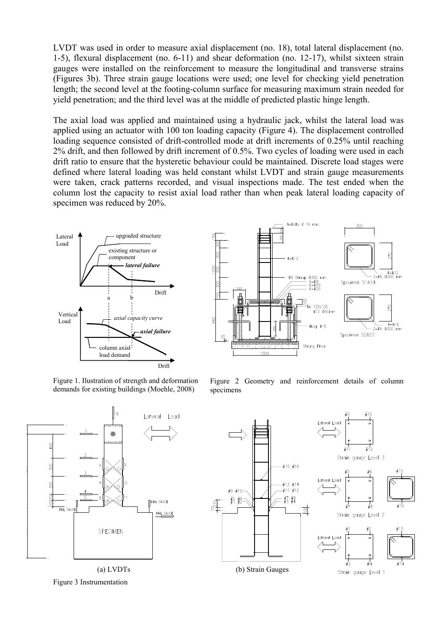LVDT was used in order to measure axial displacement (no. 18), total lateral displacement (no. 1-5), flexural displacement (no. 6-11) and shear deformation (no. 12-17), whilst sixteen strain gauges were installed on the reinforcement to measure the longitudinal and transverse strains (Figures 3b). Three strain gauge locations were used; one level for checking yield penetration length; the second level at the footing-column surface for measuring maximum strain needed for yield penetration; and the third level was at the middle of predicted plastic hinge length.

The axial load was applied and maintained using a hydraulic jack, whilst the lateral load was applied using an actuator with 100 ton loading capacity (Figure 4). The displacement controlled loading sequence consisted of drift-controlled mode at drift increments of 0.25% until reaching 2% drift, and then followed by drift increment of 0.5%. Two cycles of loading were used in each drift ratio to ensure that the hysteretic behaviour could be maintained. Discrete load stages were defined where lateral loading was held constant whilst LVDT and strain gauge measurements were taken, crack patterns recorded, and visual inspections made. The test ended when the column lost the capacity to resist axial load rather than when peak lateral loading capacity of specimen was reduced by 20%.





Figure 1. Ilustration of strength and deformation demands for existing buildings (Moehle, 2008)

Figure 2 Geometry and reinforcement details of column specimens



Figure 3 Instrumentation

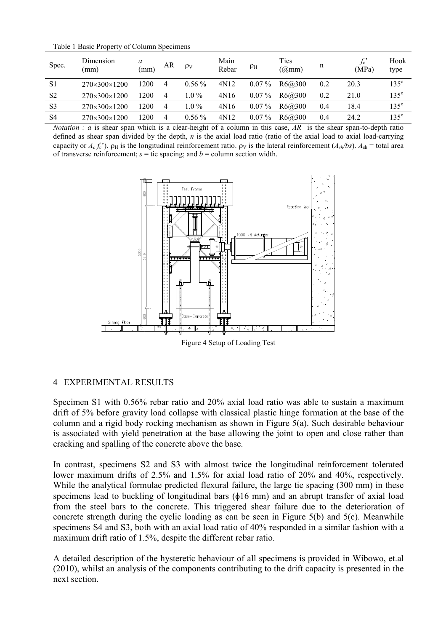Table 1 Basic Property of Column Specimens

| Spec.          | Dimension<br>(mm)        | a<br>mm) | AR             | $\rho_V$ | Main<br>Rebar | $\rho_{\rm H}$ | Ties<br>(Q <sub>m</sub> m) | n   | $f_{\rm c}$<br>(MPa) | Hook<br>type  |
|----------------|--------------------------|----------|----------------|----------|---------------|----------------|----------------------------|-----|----------------------|---------------|
| S1             | 270×300×1200             | 1200     | $\overline{4}$ | $0.56\%$ | 4N12          | $0.07\%$       | R6@300                     | 0.2 | 20.3                 | $135^{\circ}$ |
| S <sub>2</sub> | $270\times300\times1200$ | 1200     | $\overline{4}$ | $1.0\%$  | 4N16          | $0.07\%$       | R6@300                     | 0.2 | 21.0                 | $135^\circ$   |
| S <sub>3</sub> | $270\times300\times1200$ | 1200     | $\overline{4}$ | $1.0\%$  | 4N16          | $0.07\%$       | R6@300                     | 0.4 | 18.4                 | $135^\circ$   |
| S <sub>4</sub> | $270\times300\times1200$ | 1200     | 4              | $0.56\%$ | 4N12          | $0.07\%$       | R6@300                     | 0.4 | 24.2                 | $135^\circ$   |

*Notation : a* is shear span which is a clear-height of a column in this case, *AR* is the shear span-to-depth ratio defined as shear span divided by the depth, *n* is the axial load ratio (ratio of the axial load to axial load-carrying capacity or  $A_c f_c'$ ).  $\rho_H$  is the longitudinal reinforcement ratio.  $\rho_V$  is the lateral reinforcement  $(A_{sh}/bs)$ .  $A_{sh}$  = total area of transverse reinforcement;  $s =$  tie spacing; and  $b =$  column section width.



Figure 4 Setup of Loading Test

# 4 EXPERIMENTAL RESULTS

Specimen S1 with 0.56% rebar ratio and 20% axial load ratio was able to sustain a maximum drift of 5% before gravity load collapse with classical plastic hinge formation at the base of the column and a rigid body rocking mechanism as shown in Figure 5(a). Such desirable behaviour is associated with yield penetration at the base allowing the joint to open and close rather than cracking and spalling of the concrete above the base.

In contrast, specimens S2 and S3 with almost twice the longitudinal reinforcement tolerated lower maximum drifts of 2.5% and 1.5% for axial load ratio of 20% and 40%, respectively. While the analytical formulae predicted flexural failure, the large tie spacing (300 mm) in these specimens lead to buckling of longitudinal bars (φ16 mm) and an abrupt transfer of axial load from the steel bars to the concrete. This triggered shear failure due to the deterioration of concrete strength during the cyclic loading as can be seen in Figure 5(b) and 5(c). Meanwhile specimens S4 and S3, both with an axial load ratio of 40% responded in a similar fashion with a maximum drift ratio of 1.5%, despite the different rebar ratio.

A detailed description of the hysteretic behaviour of all specimens is provided in Wibowo, et.al (2010), whilst an analysis of the components contributing to the drift capacity is presented in the next section.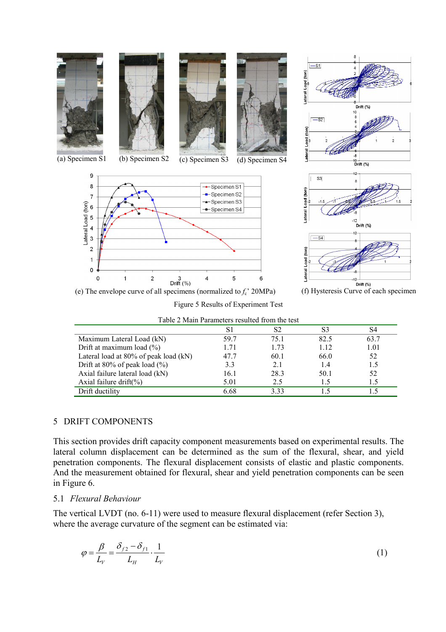

| Table 2 Main Parameters resulted from the test |       |      |                |      |  |  |  |  |  |
|------------------------------------------------|-------|------|----------------|------|--|--|--|--|--|
|                                                | S1    | S2   | S <sub>3</sub> | S4   |  |  |  |  |  |
| Maximum Lateral Load (kN)                      | 59.7  | 75 1 | 82.5           | 63.7 |  |  |  |  |  |
| Drift at maximum load $(\% )$                  | 1 7 1 | 1.73 | 1.12           | 1.01 |  |  |  |  |  |
| Lateral load at 80% of peak load (kN)          | 47.7  | 60.1 | 66.0           | 52   |  |  |  |  |  |
| Drift at 80% of peak load $(\% )$              | 3.3   | 2.1  | 1.4            | 1.5  |  |  |  |  |  |
| Axial failure lateral load (kN)                | 16.1  | 28.3 | 50.1           | 52   |  |  |  |  |  |
| Axial failure $drift(\%)$                      | 5.01  | 2.5  | 1.5            | 1.5  |  |  |  |  |  |
| Drift ductility                                | 6.68  | 333  |                |      |  |  |  |  |  |

#### 5 DRIFT COMPONENTS

This section provides drift capacity component measurements based on experimental results. The lateral column displacement can be determined as the sum of the flexural, shear, and yield penetration components. The flexural displacement consists of elastic and plastic components. And the measurement obtained for flexural, shear and yield penetration components can be seen in Figure 6.

## 5.1 *Flexural Behaviour*

The vertical LVDT (no. 6-11) were used to measure flexural displacement (refer Section 3), where the average curvature of the segment can be estimated via:

$$
\varphi = \frac{\beta}{L_V} = \frac{\delta_{f2} - \delta_{f1}}{L_H} \cdot \frac{1}{L_V} \tag{1}
$$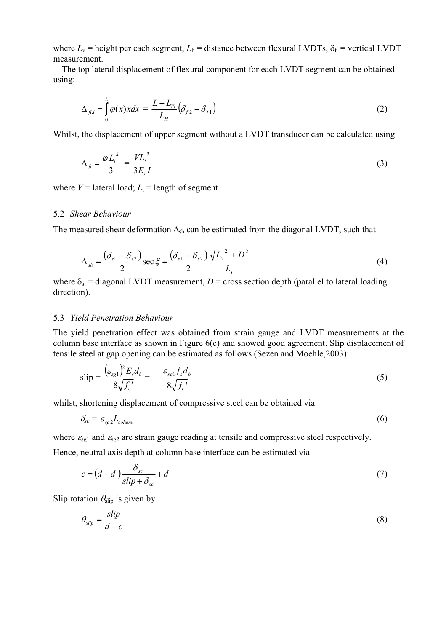where  $L_v$  = height per each segment,  $L_h$  = distance between flexural LVDTs,  $\delta_f$  = vertical LVDT measurement.

 The top lateral displacement of flexural component for each LVDT segment can be obtained using:

$$
\Delta_{fij} = \int_0^L \varphi(x) x dx = \frac{L - L_{Vi}}{L_H} \left( \delta_{f2} - \delta_{f1} \right)
$$
\n(2)

Whilst, the displacement of upper segment without a LVDT transducer can be calculated using

$$
\Delta_{fi} = \frac{\varphi L_i^2}{3} = \frac{VL_i^3}{3E_c I} \tag{3}
$$

where  $V =$  lateral load;  $L_i =$  length of segment.

#### 5.2 *Shear Behaviour*

The measured shear deformation  $\Delta_{sh}$  can be estimated from the diagonal LVDT, such that

$$
\Delta_{sh} = \frac{(\delta_{s1} - \delta_{s2})}{2} \sec \xi = \frac{(\delta_{s1} - \delta_{s2})}{2} \frac{\sqrt{L_v^2 + D^2}}{L_v}
$$
(4)

where  $\delta_s$  = diagonal LVDT measurement, *D* = cross section depth (parallel to lateral loading direction).

#### 5.3 *Yield Penetration Behaviour*

The yield penetration effect was obtained from strain gauge and LVDT measurements at the column base interface as shown in Figure 6(c) and showed good agreement. Slip displacement of tensile steel at gap opening can be estimated as follows (Sezen and Moehle,2003):

$$
\text{slip} = \frac{\left(\varepsilon_{sg1}\right)^2 E_s d_b}{8\sqrt{f_c}} = \frac{\varepsilon_{sg1} f_s d_b}{8\sqrt{f_c}}\tag{5}
$$

whilst, shortening displacement of compressive steel can be obtained via

$$
\delta_{sc} = \varepsilon_{sg} L_{column} \tag{6}
$$

where  $\varepsilon_{sg1}$  and  $\varepsilon_{sg2}$  are strain gauge reading at tensile and compressive steel respectively. Hence, neutral axis depth at column base interface can be estimated via

$$
c = (d - d') \frac{\delta_{sc}}{slip + \delta_{sc}} + d'
$$
\n<sup>(7)</sup>

Slip rotation  $\theta_{\text{slip}}$  is given by

$$
\theta_{\text{slip}} = \frac{\text{slip}}{d - c} \tag{8}
$$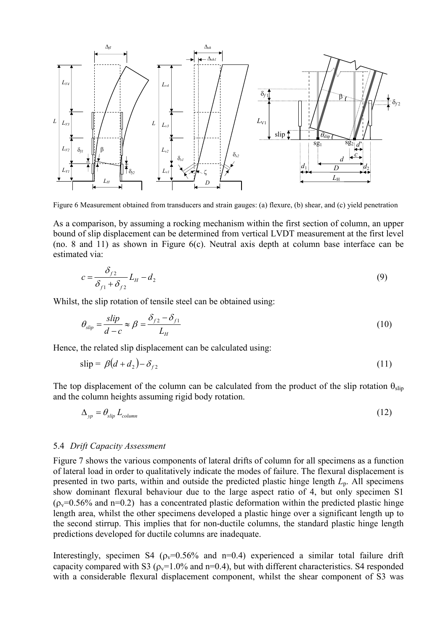

Figure 6 Measurement obtained from transducers and strain gauges: (a) flexure, (b) shear, and (c) yield penetration

As a comparison, by assuming a rocking mechanism within the first section of column, an upper bound of slip displacement can be determined from vertical LVDT measurement at the first level (no. 8 and 11) as shown in Figure 6(c). Neutral axis depth at column base interface can be estimated via:

$$
c = \frac{\delta_{f2}}{\delta_{f1} + \delta_{f2}} L_H - d_2 \tag{9}
$$

Whilst, the slip rotation of tensile steel can be obtained using:

$$
\theta_{\text{slip}} = \frac{\text{slip}}{d - c} \approx \beta = \frac{\delta_{f2} - \delta_{f1}}{L_H} \tag{10}
$$

Hence, the related slip displacement can be calculated using:

$$
\text{slip} = \beta(d + d_2) - \delta_{f2} \tag{11}
$$

The top displacement of the column can be calculated from the product of the slip rotation  $\theta_{\text{slip}}$ and the column heights assuming rigid body rotation.

$$
\Delta_{yp} = \theta_{slip} L_{column} \tag{12}
$$

#### 5.4 *Drift Capacity Assessment*

Figure 7 shows the various components of lateral drifts of column for all specimens as a function of lateral load in order to qualitatively indicate the modes of failure. The flexural displacement is presented in two parts, within and outside the predicted plastic hinge length *L*p. All specimens show dominant flexural behaviour due to the large aspect ratio of 4, but only specimen S1  $(p_v=0.56\%$  and n=0.2) has a concentrated plastic deformation within the predicted plastic hinge length area, whilst the other specimens developed a plastic hinge over a significant length up to the second stirrup. This implies that for non-ductile columns, the standard plastic hinge length predictions developed for ductile columns are inadequate.

Interestingly, specimen S4 ( $\rho_v$ =0.56% and n=0.4) experienced a similar total failure drift capacity compared with S3 ( $\rho_v$ =1.0% and n=0.4), but with different characteristics. S4 responded with a considerable flexural displacement component, whilst the shear component of S3 was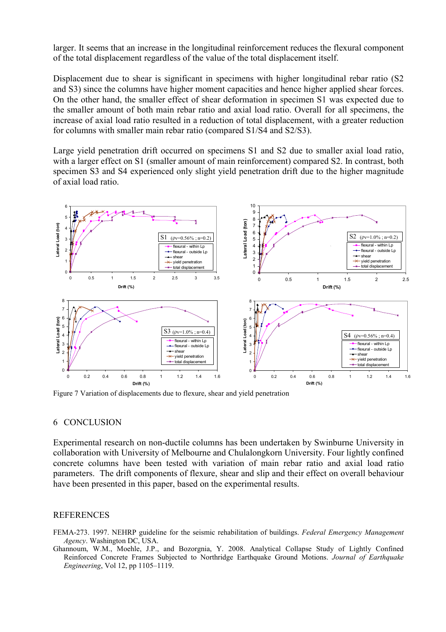larger. It seems that an increase in the longitudinal reinforcement reduces the flexural component of the total displacement regardless of the value of the total displacement itself.

Displacement due to shear is significant in specimens with higher longitudinal rebar ratio (S2) and S3) since the columns have higher moment capacities and hence higher applied shear forces. On the other hand, the smaller effect of shear deformation in specimen S1 was expected due to the smaller amount of both main rebar ratio and axial load ratio. Overall for all specimens, the increase of axial load ratio resulted in a reduction of total displacement, with a greater reduction for columns with smaller main rebar ratio (compared S1/S4 and S2/S3).

Large yield penetration drift occurred on specimens S1 and S2 due to smaller axial load ratio, with a larger effect on S1 (smaller amount of main reinforcement) compared S2. In contrast, both specimen S3 and S4 experienced only slight yield penetration drift due to the higher magnitude of axial load ratio.



Figure 7 Variation of displacements due to flexure, shear and yield penetration

#### 6 CONCLUSION

Experimental research on non-ductile columns has been undertaken by Swinburne University in collaboration with University of Melbourne and Chulalongkorn University. Four lightly confined concrete columns have been tested with variation of main rebar ratio and axial load ratio parameters. The drift components of flexure, shear and slip and their effect on overall behaviour have been presented in this paper, based on the experimental results.

#### **REFERENCES**

FEMA-273. 1997. NEHRP guideline for the seismic rehabilitation of buildings. *Federal Emergency Management Agency*. Washington DC, USA.

Ghannoum, W.M., Moehle, J.P., and Bozorgnia, Y. 2008. Analytical Collapse Study of Lightly Confined Reinforced Concrete Frames Subjected to Northridge Earthquake Ground Motions. *Journal of Earthquake Engineering*, Vol 12, pp 1105–1119.